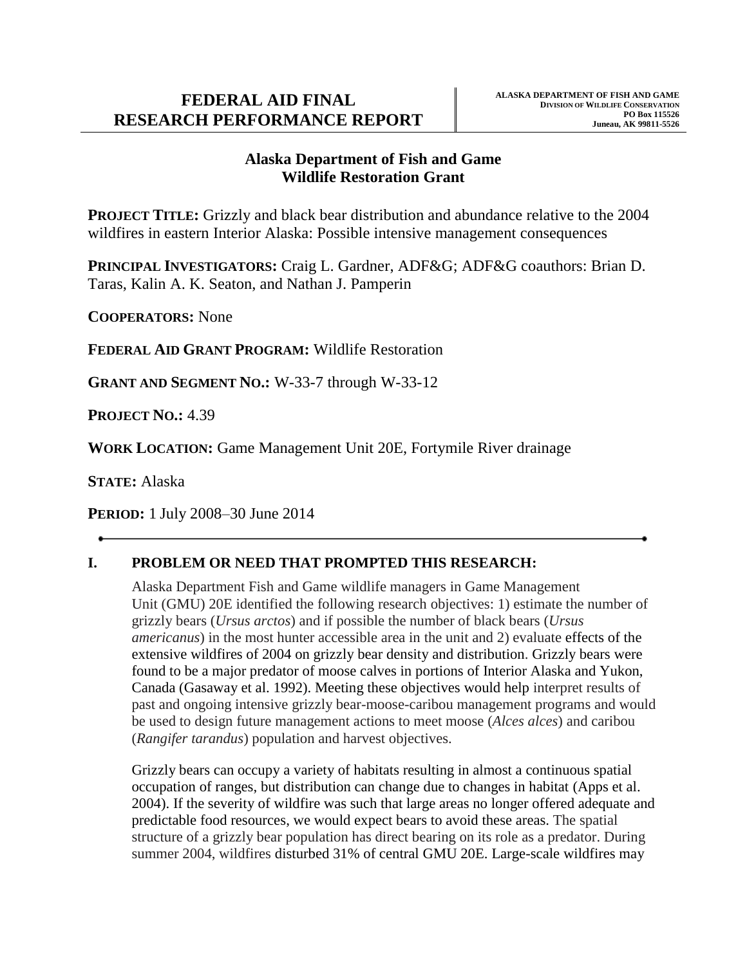## **FEDERAL AID FINAL RESEARCH PERFORMANCE REPORT**

### **Alaska Department of Fish and Game Wildlife Restoration Grant**

**PROJECT TITLE:** Grizzly and black bear distribution and abundance relative to the 2004 wildfires in eastern Interior Alaska: Possible intensive management consequences

**PRINCIPAL INVESTIGATORS:** Craig L. Gardner, ADF&G; ADF&G coauthors: Brian D. Taras, Kalin A. K. Seaton, and Nathan J. Pamperin

**COOPERATORS:** None

**FEDERAL AID GRANT PROGRAM:** Wildlife Restoration

**GRANT AND SEGMENT NO.:** W-33-7 through W-33-12

**PROJECT NO.:** 4.39

**WORK LOCATION:** Game Management Unit 20E, Fortymile River drainage

**STATE:** Alaska

**PERIOD:** 1 July 2008–30 June 2014

## **I. PROBLEM OR NEED THAT PROMPTED THIS RESEARCH:**

Alaska Department Fish and Game wildlife managers in Game Management Unit (GMU) 20E identified the following research objectives: 1) estimate the number of grizzly bears (*Ursus arctos*) and if possible the number of black bears (*Ursus americanus*) in the most hunter accessible area in the unit and 2) evaluate effects of the extensive wildfires of 2004 on grizzly bear density and distribution. Grizzly bears were found to be a major predator of moose calves in portions of Interior Alaska and Yukon, Canada (Gasaway et al. 1992). Meeting these objectives would help interpret results of past and ongoing intensive grizzly bear-moose-caribou management programs and would be used to design future management actions to meet moose (*Alces alces*) and caribou (*Rangifer tarandus*) population and harvest objectives.

Grizzly bears can occupy a variety of habitats resulting in almost a continuous spatial occupation of ranges, but distribution can change due to changes in habitat (Apps et al. 2004). If the severity of wildfire was such that large areas no longer offered adequate and predictable food resources, we would expect bears to avoid these areas. The spatial structure of a grizzly bear population has direct bearing on its role as a predator. During summer 2004, wildfires disturbed 31% of central GMU 20E. Large-scale wildfires may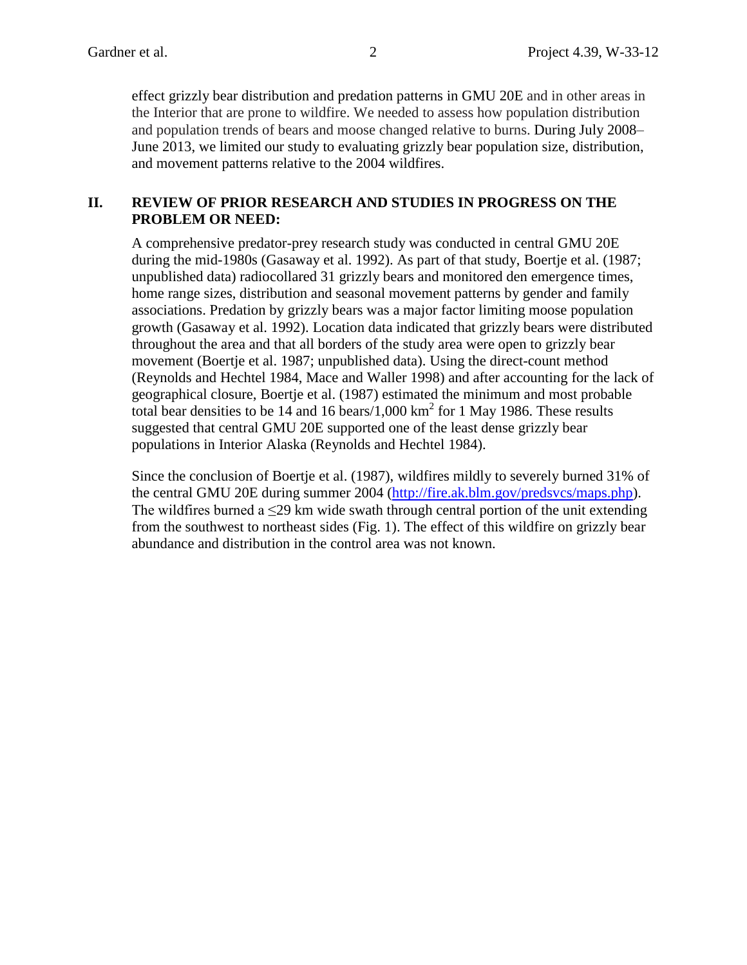effect grizzly bear distribution and predation patterns in GMU 20E and in other areas in the Interior that are prone to wildfire. We needed to assess how population distribution and population trends of bears and moose changed relative to burns. During July 2008– June 2013, we limited our study to evaluating grizzly bear population size, distribution, and movement patterns relative to the 2004 wildfires.

#### **II. REVIEW OF PRIOR RESEARCH AND STUDIES IN PROGRESS ON THE PROBLEM OR NEED:**

A comprehensive predator-prey research study was conducted in central GMU 20E during the mid-1980s (Gasaway et al. 1992). As part of that study, Boertje et al. (1987; unpublished data) radiocollared 31 grizzly bears and monitored den emergence times, home range sizes, distribution and seasonal movement patterns by gender and family associations. Predation by grizzly bears was a major factor limiting moose population growth (Gasaway et al. 1992). Location data indicated that grizzly bears were distributed throughout the area and that all borders of the study area were open to grizzly bear movement (Boertje et al. 1987; unpublished data). Using the direct-count method (Reynolds and Hechtel 1984, Mace and Waller 1998) and after accounting for the lack of geographical closure, Boertje et al. (1987) estimated the minimum and most probable total bear densities to be 14 and 16 bears/1,000 km<sup>2</sup> for 1 May 1986. These results suggested that central GMU 20E supported one of the least dense grizzly bear populations in Interior Alaska (Reynolds and Hechtel 1984).

Since the conclusion of Boertje et al. (1987), wildfires mildly to severely burned 31% of the central GMU 20E during summer 2004 [\(http://fire.ak.blm.gov/predsvcs/maps.php\)](http://fire.ak.blm.gov/predsvcs/maps.php). The wildfires burned a <29 km wide swath through central portion of the unit extending from the southwest to northeast sides (Fig. 1). The effect of this wildfire on grizzly bear abundance and distribution in the control area was not known.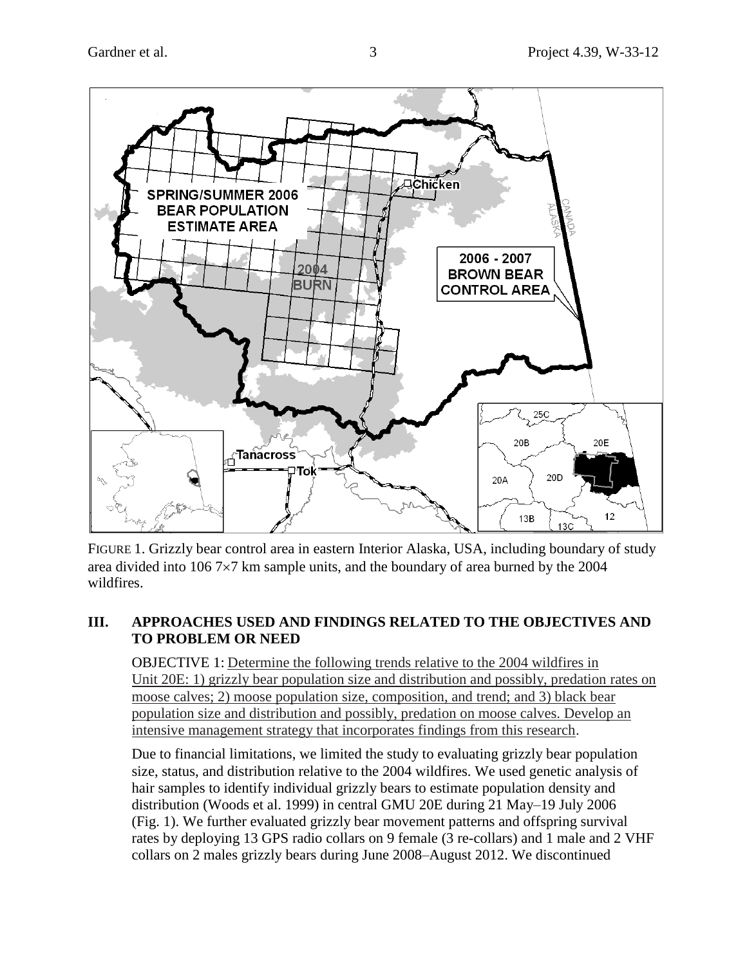

FIGURE 1. Grizzly bear control area in eastern Interior Alaska, USA, including boundary of study area divided into  $1067 \times 7$  km sample units, and the boundary of area burned by the 2004 wildfires.

## **III. APPROACHES USED AND FINDINGS RELATED TO THE OBJECTIVES AND TO PROBLEM OR NEED**

OBJECTIVE 1: Determine the following trends relative to the 2004 wildfires in Unit 20E: 1) grizzly bear population size and distribution and possibly, predation rates on moose calves; 2) moose population size, composition, and trend; and 3) black bear population size and distribution and possibly, predation on moose calves. Develop an intensive management strategy that incorporates findings from this research.

Due to financial limitations, we limited the study to evaluating grizzly bear population size, status, and distribution relative to the 2004 wildfires. We used genetic analysis of hair samples to identify individual grizzly bears to estimate population density and distribution (Woods et al. 1999) in central GMU 20E during 21 May–19 July 2006 (Fig. 1). We further evaluated grizzly bear movement patterns and offspring survival rates by deploying 13 GPS radio collars on 9 female (3 re-collars) and 1 male and 2 VHF collars on 2 males grizzly bears during June 2008–August 2012. We discontinued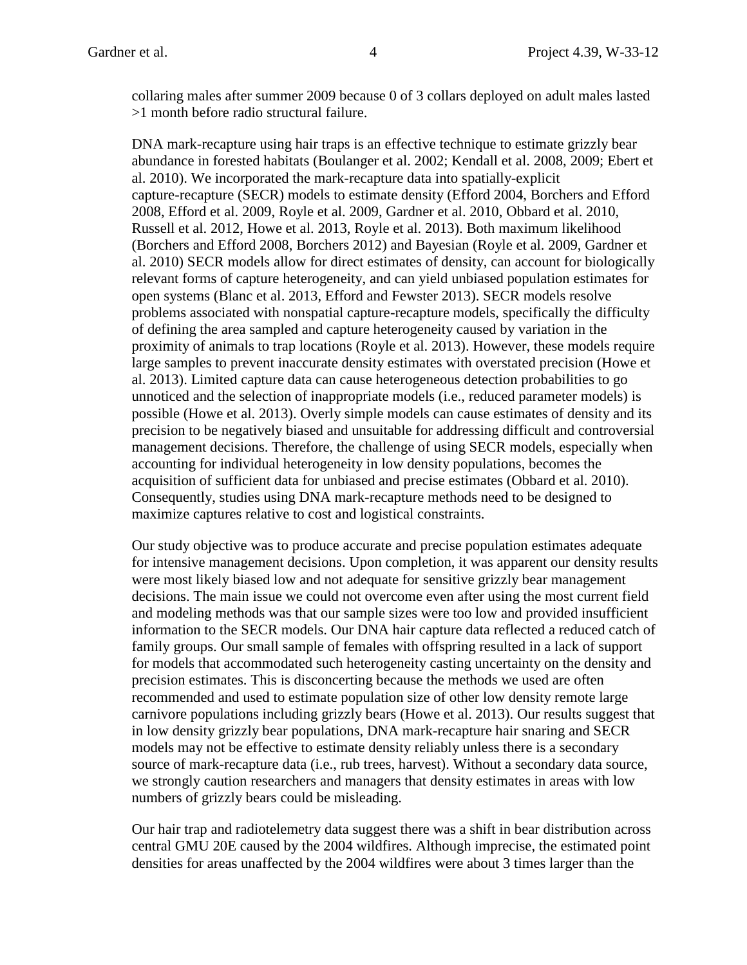collaring males after summer 2009 because 0 of 3 collars deployed on adult males lasted >1 month before radio structural failure.

DNA mark-recapture using hair traps is an effective technique to estimate grizzly bear abundance in forested habitats (Boulanger et al. 2002; Kendall et al. 2008, 2009; Ebert et al. 2010). We incorporated the mark-recapture data into spatially-explicit capture-recapture (SECR) models to estimate density (Efford 2004, Borchers and Efford 2008, Efford et al. 2009, Royle et al. 2009, Gardner et al. 2010, Obbard et al. 2010, Russell et al. 2012, Howe et al. 2013, Royle et al. 2013). Both maximum likelihood (Borchers and Efford 2008, Borchers 2012) and Bayesian (Royle et al. 2009, Gardner et al. 2010) SECR models allow for direct estimates of density, can account for biologically relevant forms of capture heterogeneity, and can yield unbiased population estimates for open systems (Blanc et al. 2013, Efford and Fewster 2013). SECR models resolve problems associated with nonspatial capture-recapture models, specifically the difficulty of defining the area sampled and capture heterogeneity caused by variation in the proximity of animals to trap locations (Royle et al. 2013). However, these models require large samples to prevent inaccurate density estimates with overstated precision (Howe et al. 2013). Limited capture data can cause heterogeneous detection probabilities to go unnoticed and the selection of inappropriate models (i.e., reduced parameter models) is possible (Howe et al. 2013). Overly simple models can cause estimates of density and its precision to be negatively biased and unsuitable for addressing difficult and controversial management decisions. Therefore, the challenge of using SECR models, especially when accounting for individual heterogeneity in low density populations, becomes the acquisition of sufficient data for unbiased and precise estimates (Obbard et al. 2010). Consequently, studies using DNA mark-recapture methods need to be designed to maximize captures relative to cost and logistical constraints.

Our study objective was to produce accurate and precise population estimates adequate for intensive management decisions. Upon completion, it was apparent our density results were most likely biased low and not adequate for sensitive grizzly bear management decisions. The main issue we could not overcome even after using the most current field and modeling methods was that our sample sizes were too low and provided insufficient information to the SECR models. Our DNA hair capture data reflected a reduced catch of family groups. Our small sample of females with offspring resulted in a lack of support for models that accommodated such heterogeneity casting uncertainty on the density and precision estimates. This is disconcerting because the methods we used are often recommended and used to estimate population size of other low density remote large carnivore populations including grizzly bears (Howe et al. 2013). Our results suggest that in low density grizzly bear populations, DNA mark-recapture hair snaring and SECR models may not be effective to estimate density reliably unless there is a secondary source of mark-recapture data (i.e., rub trees, harvest). Without a secondary data source, we strongly caution researchers and managers that density estimates in areas with low numbers of grizzly bears could be misleading.

Our hair trap and radiotelemetry data suggest there was a shift in bear distribution across central GMU 20E caused by the 2004 wildfires. Although imprecise, the estimated point densities for areas unaffected by the 2004 wildfires were about 3 times larger than the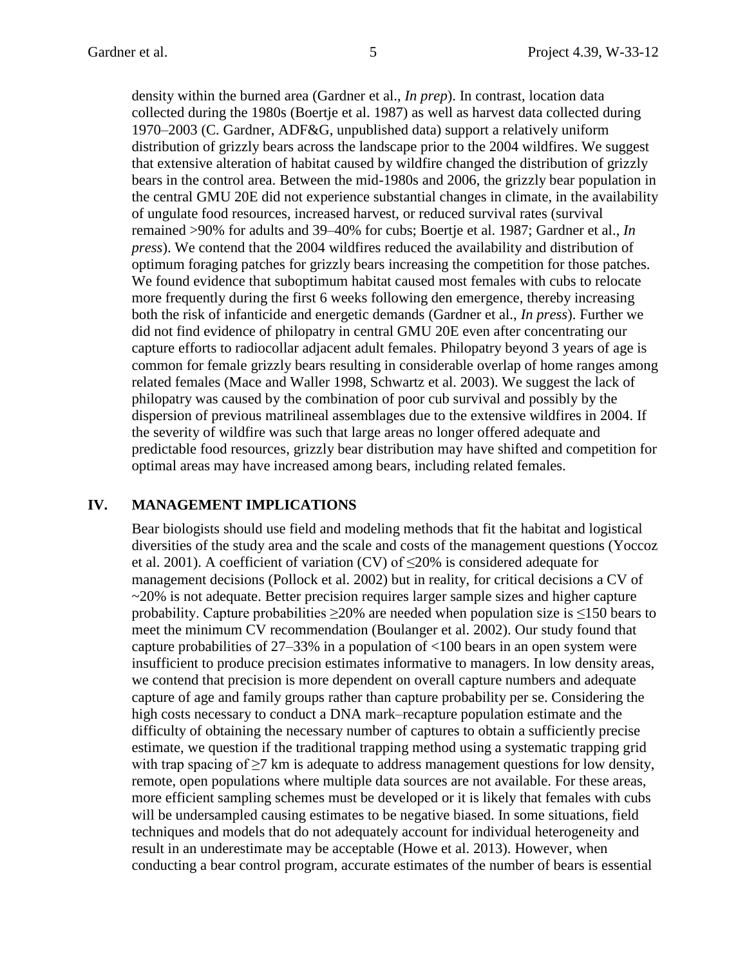density within the burned area (Gardner et al., *In prep*). In contrast, location data collected during the 1980s (Boertje et al. 1987) as well as harvest data collected during 1970–2003 (C. Gardner, ADF&G, unpublished data) support a relatively uniform distribution of grizzly bears across the landscape prior to the 2004 wildfires. We suggest that extensive alteration of habitat caused by wildfire changed the distribution of grizzly bears in the control area. Between the mid-1980s and 2006, the grizzly bear population in the central GMU 20E did not experience substantial changes in climate, in the availability of ungulate food resources, increased harvest, or reduced survival rates (survival remained >90% for adults and 39–40% for cubs; Boertje et al. 1987; Gardner et al., *In press*). We contend that the 2004 wildfires reduced the availability and distribution of optimum foraging patches for grizzly bears increasing the competition for those patches. We found evidence that suboptimum habitat caused most females with cubs to relocate more frequently during the first 6 weeks following den emergence, thereby increasing both the risk of infanticide and energetic demands (Gardner et al., *In press*). Further we did not find evidence of philopatry in central GMU 20E even after concentrating our capture efforts to radiocollar adjacent adult females. Philopatry beyond 3 years of age is common for female grizzly bears resulting in considerable overlap of home ranges among related females (Mace and Waller 1998, Schwartz et al. 2003). We suggest the lack of philopatry was caused by the combination of poor cub survival and possibly by the dispersion of previous matrilineal assemblages due to the extensive wildfires in 2004. If the severity of wildfire was such that large areas no longer offered adequate and predictable food resources, grizzly bear distribution may have shifted and competition for optimal areas may have increased among bears, including related females.

#### **IV. MANAGEMENT IMPLICATIONS**

Bear biologists should use field and modeling methods that fit the habitat and logistical diversities of the study area and the scale and costs of the management questions (Yoccoz et al. 2001). A coefficient of variation (CV) of  $\leq$ 20% is considered adequate for management decisions (Pollock et al. 2002) but in reality, for critical decisions a CV of  $\sim$ 20% is not adequate. Better precision requires larger sample sizes and higher capture probability. Capture probabilities  $\geq$ 20% are needed when population size is  $\leq$ 150 bears to meet the minimum CV recommendation (Boulanger et al. 2002). Our study found that capture probabilities of  $27-33\%$  in a population of  $\langle 100 \text{ bears in an open system were}$ insufficient to produce precision estimates informative to managers. In low density areas, we contend that precision is more dependent on overall capture numbers and adequate capture of age and family groups rather than capture probability per se. Considering the high costs necessary to conduct a DNA mark–recapture population estimate and the difficulty of obtaining the necessary number of captures to obtain a sufficiently precise estimate, we question if the traditional trapping method using a systematic trapping grid with trap spacing of  $\geq$ 7 km is adequate to address management questions for low density, remote, open populations where multiple data sources are not available. For these areas, more efficient sampling schemes must be developed or it is likely that females with cubs will be undersampled causing estimates to be negative biased. In some situations, field techniques and models that do not adequately account for individual heterogeneity and result in an underestimate may be acceptable (Howe et al. 2013). However, when conducting a bear control program, accurate estimates of the number of bears is essential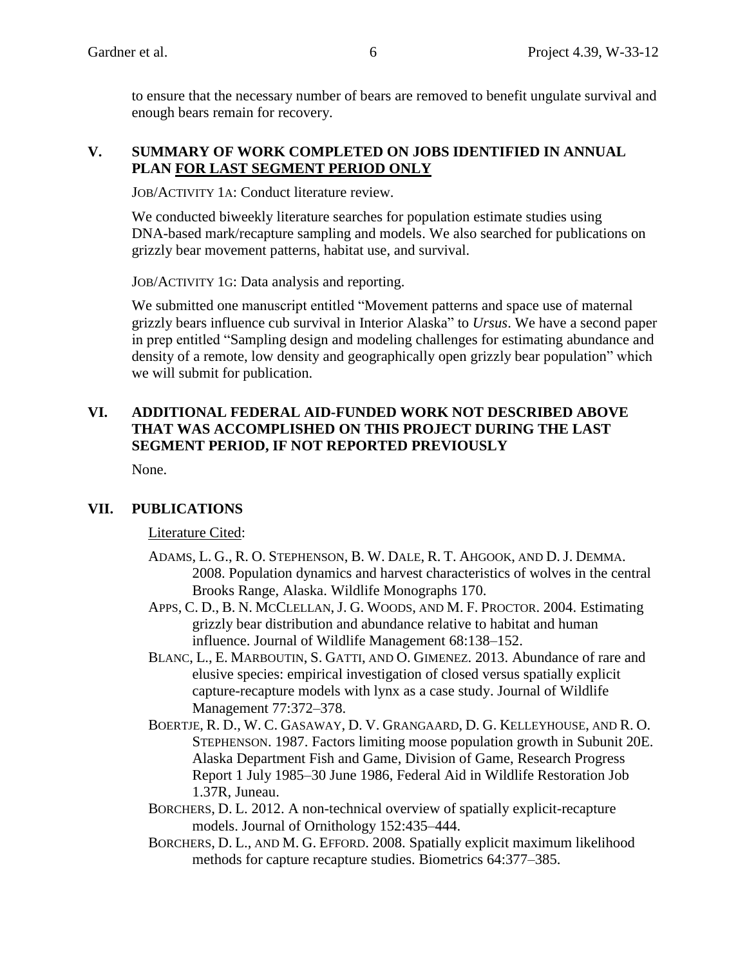to ensure that the necessary number of bears are removed to benefit ungulate survival and enough bears remain for recovery.

#### **V. SUMMARY OF WORK COMPLETED ON JOBS IDENTIFIED IN ANNUAL PLAN FOR LAST SEGMENT PERIOD ONLY**

JOB/ACTIVITY 1A: Conduct literature review.

We conducted biweekly literature searches for population estimate studies using DNA-based mark/recapture sampling and models. We also searched for publications on grizzly bear movement patterns, habitat use, and survival.

JOB/ACTIVITY 1G: Data analysis and reporting.

We submitted one manuscript entitled "Movement patterns and space use of maternal grizzly bears influence cub survival in Interior Alaska" to *Ursus*. We have a second paper in prep entitled "Sampling design and modeling challenges for estimating abundance and density of a remote, low density and geographically open grizzly bear population" which we will submit for publication.

## **VI. ADDITIONAL FEDERAL AID-FUNDED WORK NOT DESCRIBED ABOVE THAT WAS ACCOMPLISHED ON THIS PROJECT DURING THE LAST SEGMENT PERIOD, IF NOT REPORTED PREVIOUSLY**

None.

## **VII. PUBLICATIONS**

#### Literature Cited:

- ADAMS, L. G., R. O. STEPHENSON, B. W. DALE, R. T. AHGOOK, AND D. J. DEMMA. 2008. Population dynamics and harvest characteristics of wolves in the central Brooks Range, Alaska. Wildlife Monographs 170.
- APPS, C. D., B. N. MCCLELLAN, J. G. WOODS, AND M. F. PROCTOR. 2004. Estimating grizzly bear distribution and abundance relative to habitat and human influence. Journal of Wildlife Management 68:138–152.
- BLANC, L., E. MARBOUTIN, S. GATTI, AND O. GIMENEZ. 2013. Abundance of rare and elusive species: empirical investigation of closed versus spatially explicit capture-recapture models with lynx as a case study. Journal of Wildlife Management 77:372–378.
- BOERTJE, R. D., W. C. GASAWAY, D. V. GRANGAARD, D. G. KELLEYHOUSE, AND R. O. STEPHENSON. 1987. Factors limiting moose population growth in Subunit 20E. Alaska Department Fish and Game, Division of Game, Research Progress Report 1 July 1985–30 June 1986, Federal Aid in Wildlife Restoration Job 1.37R, Juneau.
- BORCHERS, D. L. 2012. A non-technical overview of spatially explicit-recapture models. Journal of Ornithology 152:435–444.
- BORCHERS, D. L., AND M. G. EFFORD. 2008. Spatially explicit maximum likelihood methods for capture recapture studies. Biometrics 64:377–385.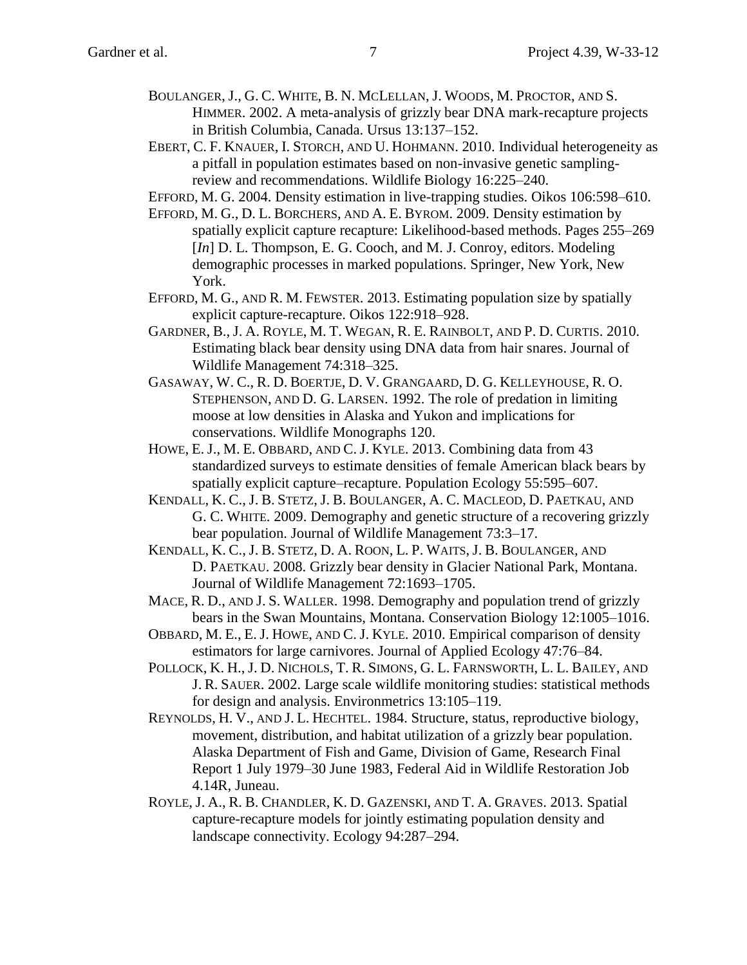- BOULANGER, J., G. C. WHITE, B. N. MCLELLAN, J. WOODS, M. PROCTOR, AND S. HIMMER. 2002. A meta-analysis of grizzly bear DNA mark-recapture projects in British Columbia, Canada. Ursus 13:137–152.
- EBERT, C. F. KNAUER, I. STORCH, AND U. HOHMANN. 2010. Individual heterogeneity as a pitfall in population estimates based on non-invasive genetic samplingreview and recommendations. Wildlife Biology 16:225–240.
- EFFORD, M. G. 2004. Density estimation in live-trapping studies. Oikos 106:598–610.
- EFFORD, M. G., D. L. BORCHERS, AND A. E. BYROM. 2009. Density estimation by spatially explicit capture recapture: Likelihood-based methods. Pages 255–269 [*In*] D. L. Thompson, E. G. Cooch, and M. J. Conroy, editors. Modeling demographic processes in marked populations. Springer, New York, New York.
- EFFORD, M. G., AND R. M. FEWSTER. 2013. Estimating population size by spatially explicit capture-recapture. Oikos 122:918–928.
- GARDNER, B., J. A. ROYLE, M. T. WEGAN, R. E. RAINBOLT, AND P. D. CURTIS. 2010. Estimating black bear density using DNA data from hair snares. Journal of Wildlife Management 74:318–325.
- GASAWAY, W. C., R. D. BOERTJE, D. V. GRANGAARD, D. G. KELLEYHOUSE, R. O. STEPHENSON, AND D. G. LARSEN. 1992. The role of predation in limiting moose at low densities in Alaska and Yukon and implications for conservations. Wildlife Monographs 120.
- HOWE, E. J., M. E. OBBARD, AND C. J. KYLE. 2013. Combining data from 43 standardized surveys to estimate densities of female American black bears by spatially explicit capture–recapture. Population Ecology 55:595–607.
- KENDALL, K. C., J. B. STETZ, J. B. BOULANGER, A. C. MACLEOD, D. PAETKAU, AND G. C. WHITE. 2009. Demography and genetic structure of a recovering grizzly bear population. Journal of Wildlife Management 73:3–17.
- KENDALL, K. C., J. B. STETZ, D. A. ROON, L. P. WAITS, J. B. BOULANGER, AND D. PAETKAU. 2008. Grizzly bear density in Glacier National Park, Montana. Journal of Wildlife Management 72:1693–1705.
- MACE, R. D., AND J. S. WALLER. 1998. Demography and population trend of grizzly bears in the Swan Mountains, Montana. Conservation Biology 12:1005–1016.
- OBBARD, M. E., E.J. HOWE, AND C. J. KYLE. 2010. Empirical comparison of density estimators for large carnivores. Journal of Applied Ecology 47:76–84.
- POLLOCK, K. H., J. D. NICHOLS, T. R. SIMONS, G. L. FARNSWORTH, L. L. BAILEY, AND J. R. SAUER. 2002. Large scale wildlife monitoring studies: statistical methods for design and analysis. Environmetrics 13:105–119.
- REYNOLDS, H. V., AND J. L. HECHTEL. 1984. Structure, status, reproductive biology, movement, distribution, and habitat utilization of a grizzly bear population. Alaska Department of Fish and Game, Division of Game, Research Final Report 1 July 1979–30 June 1983, Federal Aid in Wildlife Restoration Job 4.14R, Juneau.
- ROYLE, J. A., R. B. CHANDLER, K. D. GAZENSKI, AND T. A. GRAVES. 2013. Spatial capture-recapture models for jointly estimating population density and landscape connectivity. Ecology 94:287–294.